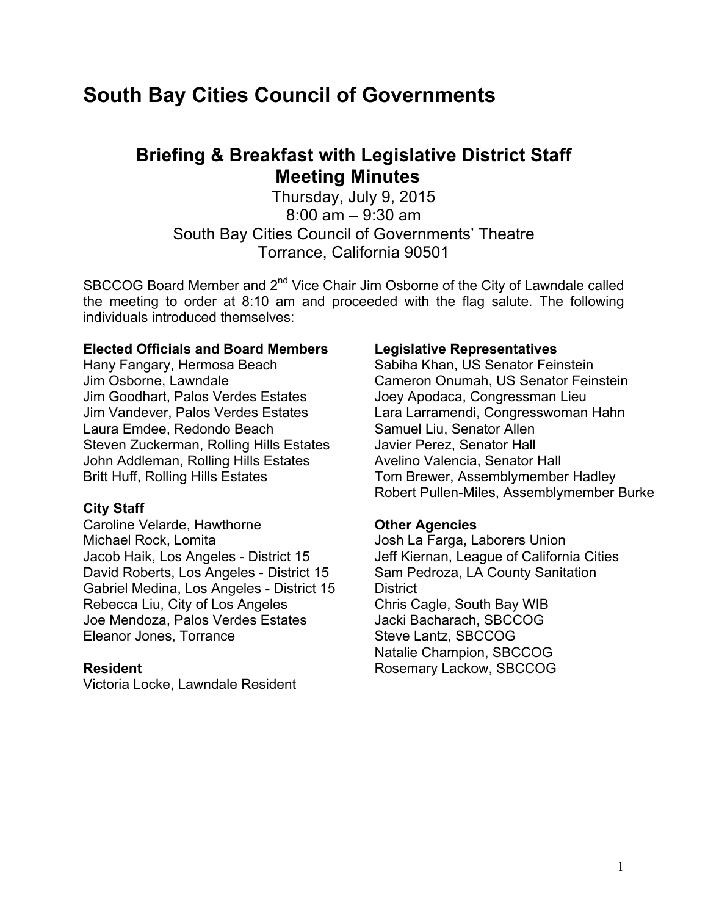# **South Bay Cities Council of Governments**

## **Briefing & Breakfast with Legislative District Staff Meeting Minutes**

Thursday, July 9, 2015 8:00 am – 9:30 am South Bay Cities Council of Governments' Theatre Torrance, California 90501

SBCCOG Board Member and 2<sup>nd</sup> Vice Chair Jim Osborne of the City of Lawndale called the meeting to order at 8:10 am and proceeded with the flag salute. The following individuals introduced themselves:

#### **Elected Officials and Board Members**

Hany Fangary, Hermosa Beach Jim Osborne, Lawndale Jim Goodhart, Palos Verdes Estates Jim Vandever, Palos Verdes Estates Laura Emdee, Redondo Beach Steven Zuckerman, Rolling Hills Estates John Addleman, Rolling Hills Estates Britt Huff, Rolling Hills Estates

## **City Staff**

Caroline Velarde, Hawthorne Michael Rock, Lomita Jacob Haik, Los Angeles - District 15 David Roberts, Los Angeles - District 15 Gabriel Medina, Los Angeles - District 15 Rebecca Liu, City of Los Angeles Joe Mendoza, Palos Verdes Estates Eleanor Jones, Torrance

## **Resident**

Victoria Locke, Lawndale Resident

#### **Legislative Representatives**

Sabiha Khan, US Senator Feinstein Cameron Onumah, US Senator Feinstein Joey Apodaca, Congressman Lieu Lara Larramendi, Congresswoman Hahn Samuel Liu, Senator Allen Javier Perez, Senator Hall Avelino Valencia, Senator Hall Tom Brewer, Assemblymember Hadley Robert Pullen-Miles, Assemblymember Burke

## **Other Agencies**

Josh La Farga, Laborers Union Jeff Kiernan, League of California Cities Sam Pedroza, LA County Sanitation District Chris Cagle, South Bay WIB Jacki Bacharach, SBCCOG Steve Lantz, SBCCOG Natalie Champion, SBCCOG Rosemary Lackow, SBCCOG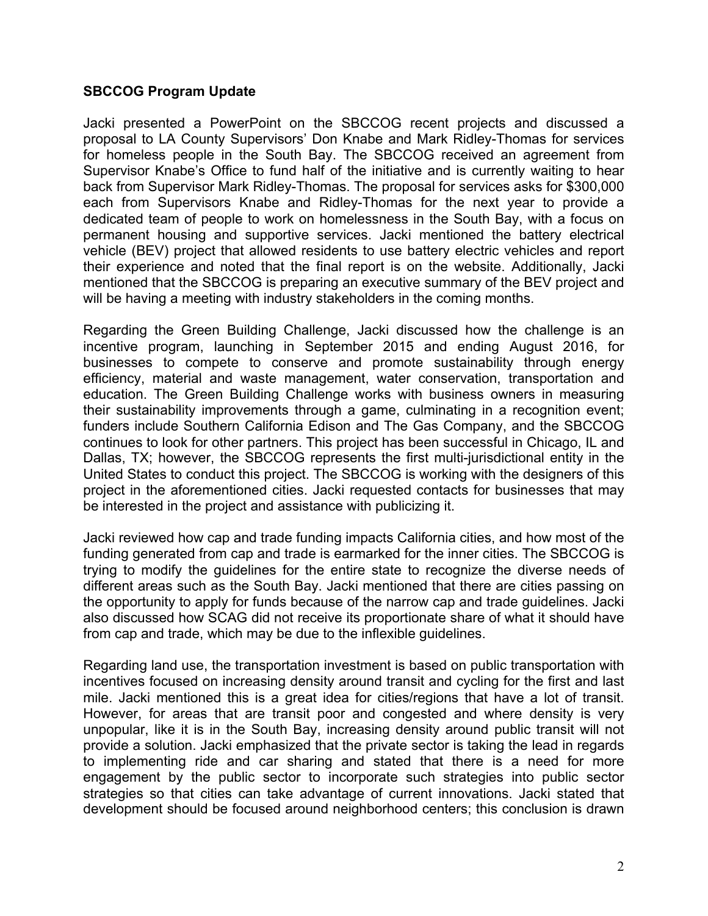## **SBCCOG Program Update**

Jacki presented a PowerPoint on the SBCCOG recent projects and discussed a proposal to LA County Supervisors' Don Knabe and Mark Ridley-Thomas for services for homeless people in the South Bay. The SBCCOG received an agreement from Supervisor Knabe's Office to fund half of the initiative and is currently waiting to hear back from Supervisor Mark Ridley-Thomas. The proposal for services asks for \$300,000 each from Supervisors Knabe and Ridley-Thomas for the next year to provide a dedicated team of people to work on homelessness in the South Bay, with a focus on permanent housing and supportive services. Jacki mentioned the battery electrical vehicle (BEV) project that allowed residents to use battery electric vehicles and report their experience and noted that the final report is on the website. Additionally, Jacki mentioned that the SBCCOG is preparing an executive summary of the BEV project and will be having a meeting with industry stakeholders in the coming months.

Regarding the Green Building Challenge, Jacki discussed how the challenge is an incentive program, launching in September 2015 and ending August 2016, for businesses to compete to conserve and promote sustainability through energy efficiency, material and waste management, water conservation, transportation and education. The Green Building Challenge works with business owners in measuring their sustainability improvements through a game, culminating in a recognition event; funders include Southern California Edison and The Gas Company, and the SBCCOG continues to look for other partners. This project has been successful in Chicago, IL and Dallas, TX; however, the SBCCOG represents the first multi-jurisdictional entity in the United States to conduct this project. The SBCCOG is working with the designers of this project in the aforementioned cities. Jacki requested contacts for businesses that may be interested in the project and assistance with publicizing it.

Jacki reviewed how cap and trade funding impacts California cities, and how most of the funding generated from cap and trade is earmarked for the inner cities. The SBCCOG is trying to modify the guidelines for the entire state to recognize the diverse needs of different areas such as the South Bay. Jacki mentioned that there are cities passing on the opportunity to apply for funds because of the narrow cap and trade guidelines. Jacki also discussed how SCAG did not receive its proportionate share of what it should have from cap and trade, which may be due to the inflexible guidelines.

Regarding land use, the transportation investment is based on public transportation with incentives focused on increasing density around transit and cycling for the first and last mile. Jacki mentioned this is a great idea for cities/regions that have a lot of transit. However, for areas that are transit poor and congested and where density is very unpopular, like it is in the South Bay, increasing density around public transit will not provide a solution. Jacki emphasized that the private sector is taking the lead in regards to implementing ride and car sharing and stated that there is a need for more engagement by the public sector to incorporate such strategies into public sector strategies so that cities can take advantage of current innovations. Jacki stated that development should be focused around neighborhood centers; this conclusion is drawn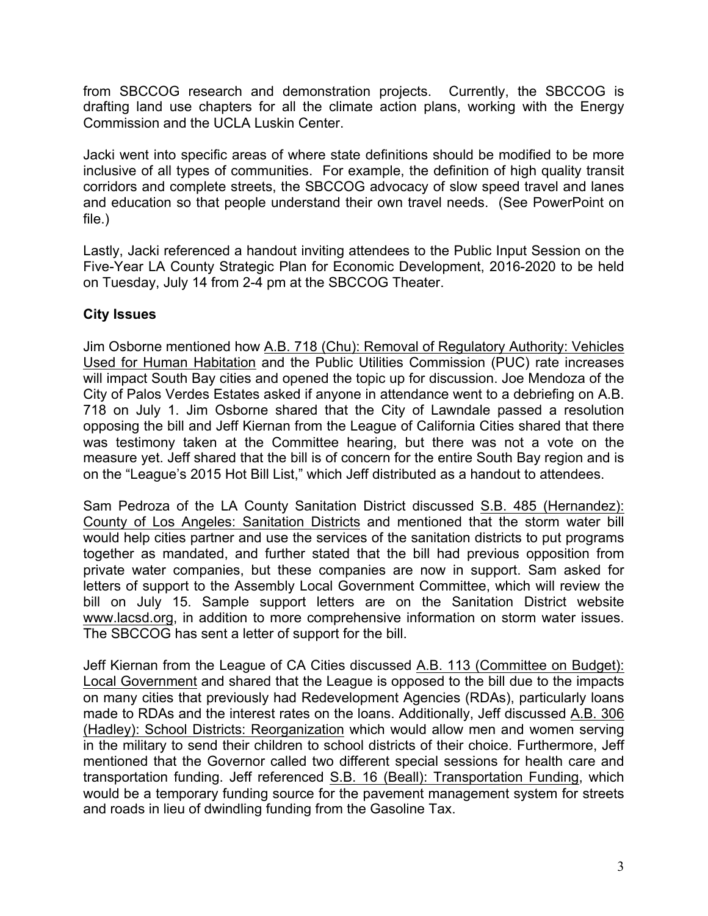from SBCCOG research and demonstration projects. Currently, the SBCCOG is drafting land use chapters for all the climate action plans, working with the Energy Commission and the UCLA Luskin Center.

Jacki went into specific areas of where state definitions should be modified to be more inclusive of all types of communities. For example, the definition of high quality transit corridors and complete streets, the SBCCOG advocacy of slow speed travel and lanes and education so that people understand their own travel needs. (See PowerPoint on file.)

Lastly, Jacki referenced a handout inviting attendees to the Public Input Session on the Five-Year LA County Strategic Plan for Economic Development, 2016-2020 to be held on Tuesday, July 14 from 2-4 pm at the SBCCOG Theater.

## **City Issues**

Jim Osborne mentioned how A.B. 718 (Chu): Removal of Regulatory Authority: Vehicles Used for Human Habitation and the Public Utilities Commission (PUC) rate increases will impact South Bay cities and opened the topic up for discussion. Joe Mendoza of the City of Palos Verdes Estates asked if anyone in attendance went to a debriefing on A.B. 718 on July 1. Jim Osborne shared that the City of Lawndale passed a resolution opposing the bill and Jeff Kiernan from the League of California Cities shared that there was testimony taken at the Committee hearing, but there was not a vote on the measure yet. Jeff shared that the bill is of concern for the entire South Bay region and is on the "League's 2015 Hot Bill List," which Jeff distributed as a handout to attendees.

Sam Pedroza of the LA County Sanitation District discussed S.B. 485 (Hernandez): County of Los Angeles: Sanitation Districts and mentioned that the storm water bill would help cities partner and use the services of the sanitation districts to put programs together as mandated, and further stated that the bill had previous opposition from private water companies, but these companies are now in support. Sam asked for letters of support to the Assembly Local Government Committee, which will review the bill on July 15. Sample support letters are on the Sanitation District website www.lacsd.org, in addition to more comprehensive information on storm water issues. The SBCCOG has sent a letter of support for the bill.

Jeff Kiernan from the League of CA Cities discussed A.B. 113 (Committee on Budget): Local Government and shared that the League is opposed to the bill due to the impacts on many cities that previously had Redevelopment Agencies (RDAs), particularly loans made to RDAs and the interest rates on the loans. Additionally, Jeff discussed A.B. 306 (Hadley): School Districts: Reorganization which would allow men and women serving in the military to send their children to school districts of their choice. Furthermore, Jeff mentioned that the Governor called two different special sessions for health care and transportation funding. Jeff referenced S.B. 16 (Beall): Transportation Funding, which would be a temporary funding source for the pavement management system for streets and roads in lieu of dwindling funding from the Gasoline Tax.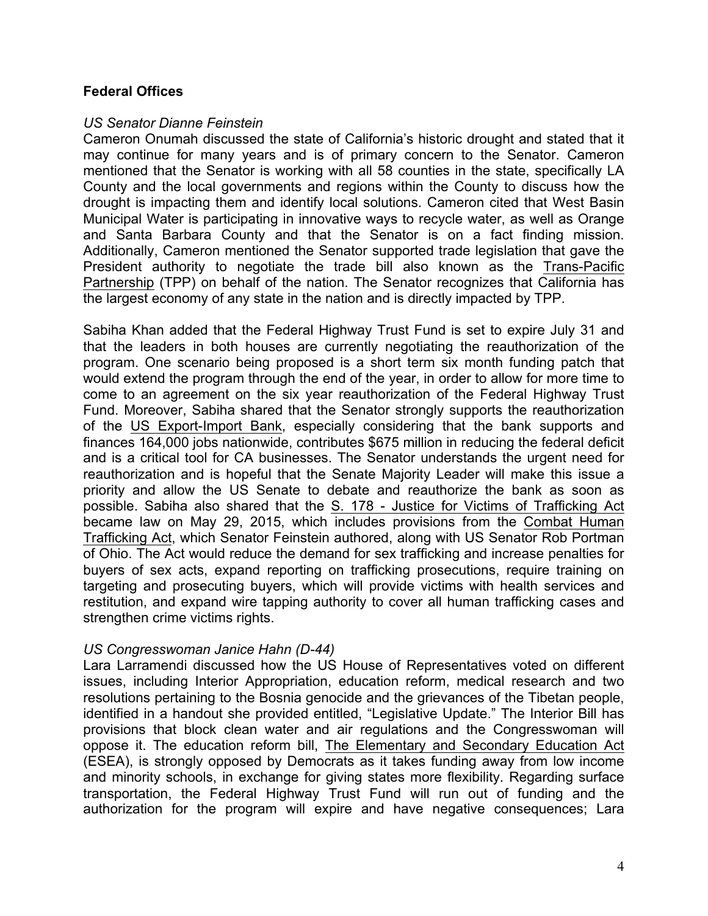## **Federal Offices**

#### *US Senator Dianne Feinstein*

Cameron Onumah discussed the state of California's historic drought and stated that it may continue for many years and is of primary concern to the Senator. Cameron mentioned that the Senator is working with all 58 counties in the state, specifically LA County and the local governments and regions within the County to discuss how the drought is impacting them and identify local solutions. Cameron cited that West Basin Municipal Water is participating in innovative ways to recycle water, as well as Orange and Santa Barbara County and that the Senator is on a fact finding mission. Additionally, Cameron mentioned the Senator supported trade legislation that gave the President authority to negotiate the trade bill also known as the Trans-Pacific Partnership (TPP) on behalf of the nation. The Senator recognizes that California has the largest economy of any state in the nation and is directly impacted by TPP.

Sabiha Khan added that the Federal Highway Trust Fund is set to expire July 31 and that the leaders in both houses are currently negotiating the reauthorization of the program. One scenario being proposed is a short term six month funding patch that would extend the program through the end of the year, in order to allow for more time to come to an agreement on the six year reauthorization of the Federal Highway Trust Fund. Moreover, Sabiha shared that the Senator strongly supports the reauthorization of the US Export-Import Bank, especially considering that the bank supports and finances 164,000 jobs nationwide, contributes \$675 million in reducing the federal deficit and is a critical tool for CA businesses. The Senator understands the urgent need for reauthorization and is hopeful that the Senate Majority Leader will make this issue a priority and allow the US Senate to debate and reauthorize the bank as soon as possible. Sabiha also shared that the S. 178 - Justice for Victims of Trafficking Act became law on May 29, 2015, which includes provisions from the Combat Human Trafficking Act, which Senator Feinstein authored, along with US Senator Rob Portman of Ohio. The Act would reduce the demand for sex trafficking and increase penalties for buyers of sex acts, expand reporting on trafficking prosecutions, require training on targeting and prosecuting buyers, which will provide victims with health services and restitution, and expand wire tapping authority to cover all human trafficking cases and strengthen crime victims rights.

#### *US Congresswoman Janice Hahn (D-44)*

Lara Larramendi discussed how the US House of Representatives voted on different issues, including Interior Appropriation, education reform, medical research and two resolutions pertaining to the Bosnia genocide and the grievances of the Tibetan people, identified in a handout she provided entitled, "Legislative Update." The Interior Bill has provisions that block clean water and air regulations and the Congresswoman will oppose it. The education reform bill, The Elementary and Secondary Education Act (ESEA), is strongly opposed by Democrats as it takes funding away from low income and minority schools, in exchange for giving states more flexibility. Regarding surface transportation, the Federal Highway Trust Fund will run out of funding and the authorization for the program will expire and have negative consequences; Lara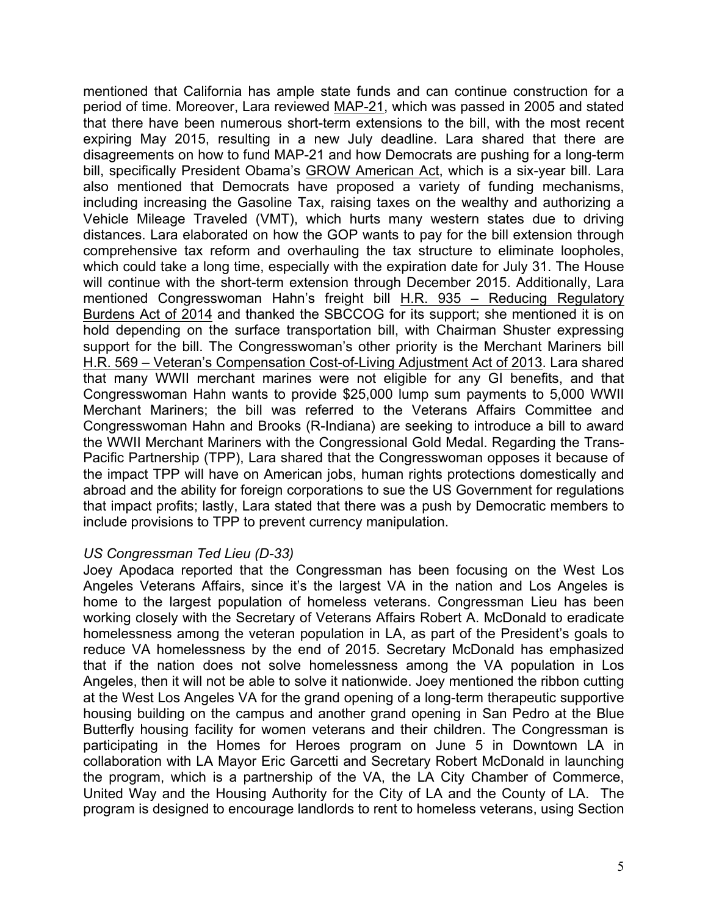mentioned that California has ample state funds and can continue construction for a period of time. Moreover, Lara reviewed MAP-21, which was passed in 2005 and stated that there have been numerous short-term extensions to the bill, with the most recent expiring May 2015, resulting in a new July deadline. Lara shared that there are disagreements on how to fund MAP-21 and how Democrats are pushing for a long-term bill, specifically President Obama's GROW American Act, which is a six-year bill. Lara also mentioned that Democrats have proposed a variety of funding mechanisms, including increasing the Gasoline Tax, raising taxes on the wealthy and authorizing a Vehicle Mileage Traveled (VMT), which hurts many western states due to driving distances. Lara elaborated on how the GOP wants to pay for the bill extension through comprehensive tax reform and overhauling the tax structure to eliminate loopholes, which could take a long time, especially with the expiration date for July 31. The House will continue with the short-term extension through December 2015. Additionally, Lara mentioned Congresswoman Hahn's freight bill H.R. 935 – Reducing Regulatory Burdens Act of 2014 and thanked the SBCCOG for its support; she mentioned it is on hold depending on the surface transportation bill, with Chairman Shuster expressing support for the bill. The Congresswoman's other priority is the Merchant Mariners bill H.R. 569 – Veteran's Compensation Cost-of-Living Adjustment Act of 2013. Lara shared that many WWII merchant marines were not eligible for any GI benefits, and that Congresswoman Hahn wants to provide \$25,000 lump sum payments to 5,000 WWII Merchant Mariners; the bill was referred to the Veterans Affairs Committee and Congresswoman Hahn and Brooks (R-Indiana) are seeking to introduce a bill to award the WWII Merchant Mariners with the Congressional Gold Medal. Regarding the Trans-Pacific Partnership (TPP), Lara shared that the Congresswoman opposes it because of the impact TPP will have on American jobs, human rights protections domestically and abroad and the ability for foreign corporations to sue the US Government for regulations that impact profits; lastly, Lara stated that there was a push by Democratic members to include provisions to TPP to prevent currency manipulation.

## *US Congressman Ted Lieu (D-33)*

Joey Apodaca reported that the Congressman has been focusing on the West Los Angeles Veterans Affairs, since it's the largest VA in the nation and Los Angeles is home to the largest population of homeless veterans. Congressman Lieu has been working closely with the Secretary of Veterans Affairs Robert A. McDonald to eradicate homelessness among the veteran population in LA, as part of the President's goals to reduce VA homelessness by the end of 2015. Secretary McDonald has emphasized that if the nation does not solve homelessness among the VA population in Los Angeles, then it will not be able to solve it nationwide. Joey mentioned the ribbon cutting at the West Los Angeles VA for the grand opening of a long-term therapeutic supportive housing building on the campus and another grand opening in San Pedro at the Blue Butterfly housing facility for women veterans and their children. The Congressman is participating in the Homes for Heroes program on June 5 in Downtown LA in collaboration with LA Mayor Eric Garcetti and Secretary Robert McDonald in launching the program, which is a partnership of the VA, the LA City Chamber of Commerce, United Way and the Housing Authority for the City of LA and the County of LA. The program is designed to encourage landlords to rent to homeless veterans, using Section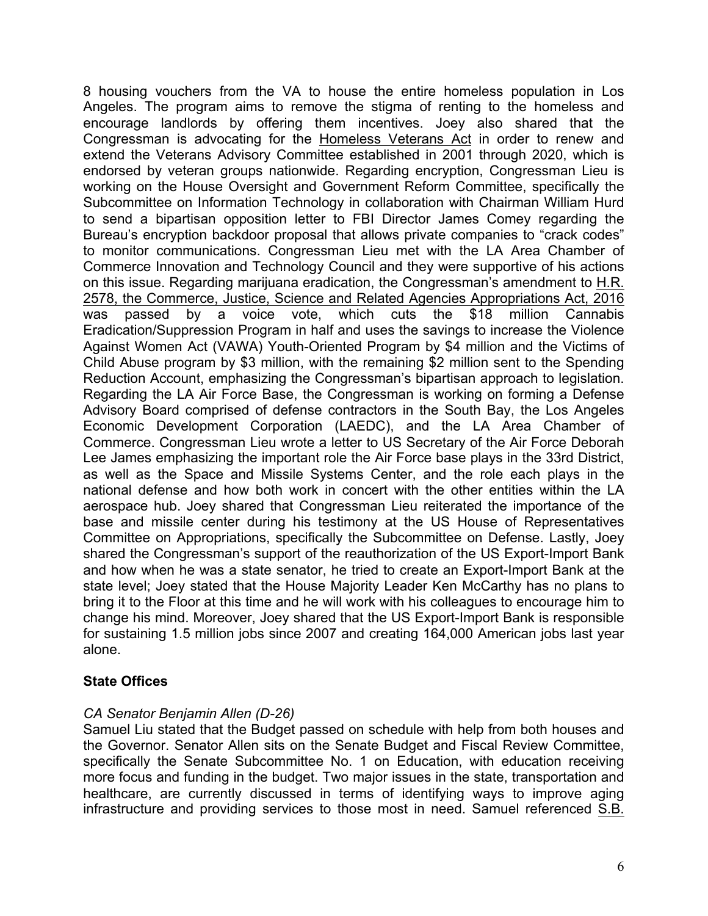8 housing vouchers from the VA to house the entire homeless population in Los Angeles. The program aims to remove the stigma of renting to the homeless and encourage landlords by offering them incentives. Joey also shared that the Congressman is advocating for the Homeless Veterans Act in order to renew and extend the Veterans Advisory Committee established in 2001 through 2020, which is endorsed by veteran groups nationwide. Regarding encryption, Congressman Lieu is working on the House Oversight and Government Reform Committee, specifically the Subcommittee on Information Technology in collaboration with Chairman William Hurd to send a bipartisan opposition letter to FBI Director James Comey regarding the Bureau's encryption backdoor proposal that allows private companies to "crack codes" to monitor communications. Congressman Lieu met with the LA Area Chamber of Commerce Innovation and Technology Council and they were supportive of his actions on this issue. Regarding marijuana eradication, the Congressman's amendment to H.R. 2578, the Commerce, Justice, Science and Related Agencies Appropriations Act, 2016 was passed by a voice vote, which cuts the \$18 million Cannabis Eradication/Suppression Program in half and uses the savings to increase the Violence Against Women Act (VAWA) Youth-Oriented Program by \$4 million and the Victims of Child Abuse program by \$3 million, with the remaining \$2 million sent to the Spending Reduction Account, emphasizing the Congressman's bipartisan approach to legislation. Regarding the LA Air Force Base, the Congressman is working on forming a Defense Advisory Board comprised of defense contractors in the South Bay, the Los Angeles Economic Development Corporation (LAEDC), and the LA Area Chamber of Commerce. Congressman Lieu wrote a letter to US Secretary of the Air Force Deborah Lee James emphasizing the important role the Air Force base plays in the 33rd District, as well as the Space and Missile Systems Center, and the role each plays in the national defense and how both work in concert with the other entities within the LA aerospace hub. Joey shared that Congressman Lieu reiterated the importance of the base and missile center during his testimony at the US House of Representatives Committee on Appropriations, specifically the Subcommittee on Defense. Lastly, Joey shared the Congressman's support of the reauthorization of the US Export-Import Bank and how when he was a state senator, he tried to create an Export-Import Bank at the state level; Joey stated that the House Majority Leader Ken McCarthy has no plans to bring it to the Floor at this time and he will work with his colleagues to encourage him to change his mind. Moreover, Joey shared that the US Export-Import Bank is responsible for sustaining 1.5 million jobs since 2007 and creating 164,000 American jobs last year alone.

## **State Offices**

## *CA Senator Benjamin Allen (D-26)*

Samuel Liu stated that the Budget passed on schedule with help from both houses and the Governor. Senator Allen sits on the Senate Budget and Fiscal Review Committee, specifically the Senate Subcommittee No. 1 on Education, with education receiving more focus and funding in the budget. Two major issues in the state, transportation and healthcare, are currently discussed in terms of identifying ways to improve aging infrastructure and providing services to those most in need. Samuel referenced S.B.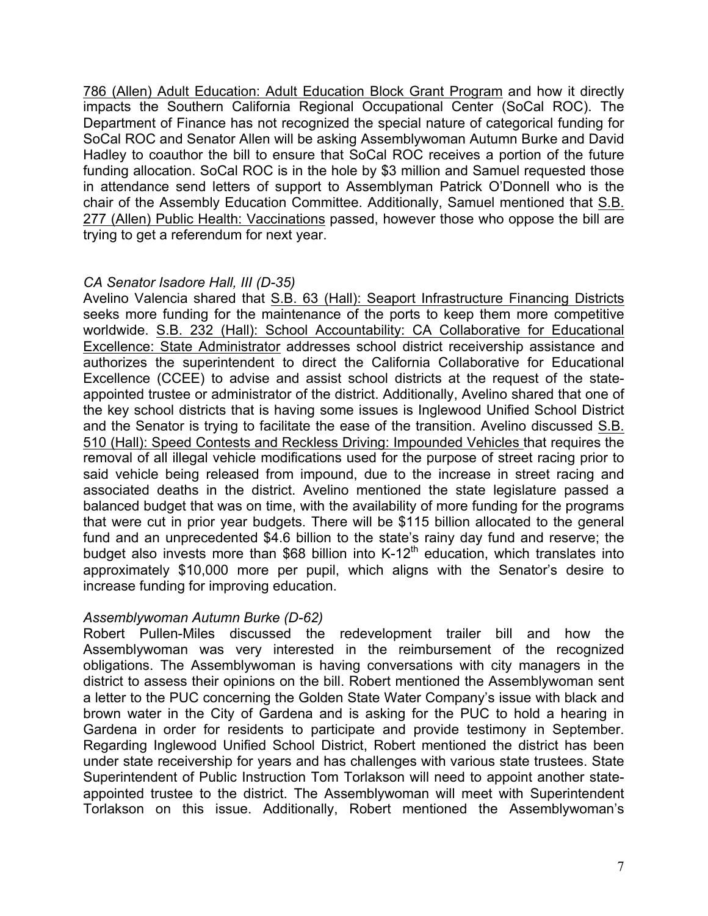786 (Allen) Adult Education: Adult Education Block Grant Program and how it directly impacts the Southern California Regional Occupational Center (SoCal ROC). The Department of Finance has not recognized the special nature of categorical funding for SoCal ROC and Senator Allen will be asking Assemblywoman Autumn Burke and David Hadley to coauthor the bill to ensure that SoCal ROC receives a portion of the future funding allocation. SoCal ROC is in the hole by \$3 million and Samuel requested those in attendance send letters of support to Assemblyman Patrick O'Donnell who is the chair of the Assembly Education Committee. Additionally, Samuel mentioned that S.B. 277 (Allen) Public Health: Vaccinations passed, however those who oppose the bill are trying to get a referendum for next year.

## *CA Senator Isadore Hall, III (D-35)*

Avelino Valencia shared that S.B. 63 (Hall): Seaport Infrastructure Financing Districts seeks more funding for the maintenance of the ports to keep them more competitive worldwide. S.B. 232 (Hall): School Accountability: CA Collaborative for Educational Excellence: State Administrator addresses school district receivership assistance and authorizes the superintendent to direct the California Collaborative for Educational Excellence (CCEE) to advise and assist school districts at the request of the stateappointed trustee or administrator of the district. Additionally, Avelino shared that one of the key school districts that is having some issues is Inglewood Unified School District and the Senator is trying to facilitate the ease of the transition. Avelino discussed S.B. 510 (Hall): Speed Contests and Reckless Driving: Impounded Vehicles that requires the removal of all illegal vehicle modifications used for the purpose of street racing prior to said vehicle being released from impound, due to the increase in street racing and associated deaths in the district. Avelino mentioned the state legislature passed a balanced budget that was on time, with the availability of more funding for the programs that were cut in prior year budgets. There will be \$115 billion allocated to the general fund and an unprecedented \$4.6 billion to the state's rainy day fund and reserve; the budget also invests more than \$68 billion into  $K-12<sup>th</sup>$  education, which translates into approximately \$10,000 more per pupil, which aligns with the Senator's desire to increase funding for improving education.

## *Assemblywoman Autumn Burke (D-62)*

Robert Pullen-Miles discussed the redevelopment trailer bill and how the Assemblywoman was very interested in the reimbursement of the recognized obligations. The Assemblywoman is having conversations with city managers in the district to assess their opinions on the bill. Robert mentioned the Assemblywoman sent a letter to the PUC concerning the Golden State Water Company's issue with black and brown water in the City of Gardena and is asking for the PUC to hold a hearing in Gardena in order for residents to participate and provide testimony in September. Regarding Inglewood Unified School District, Robert mentioned the district has been under state receivership for years and has challenges with various state trustees. State Superintendent of Public Instruction Tom Torlakson will need to appoint another stateappointed trustee to the district. The Assemblywoman will meet with Superintendent Torlakson on this issue. Additionally, Robert mentioned the Assemblywoman's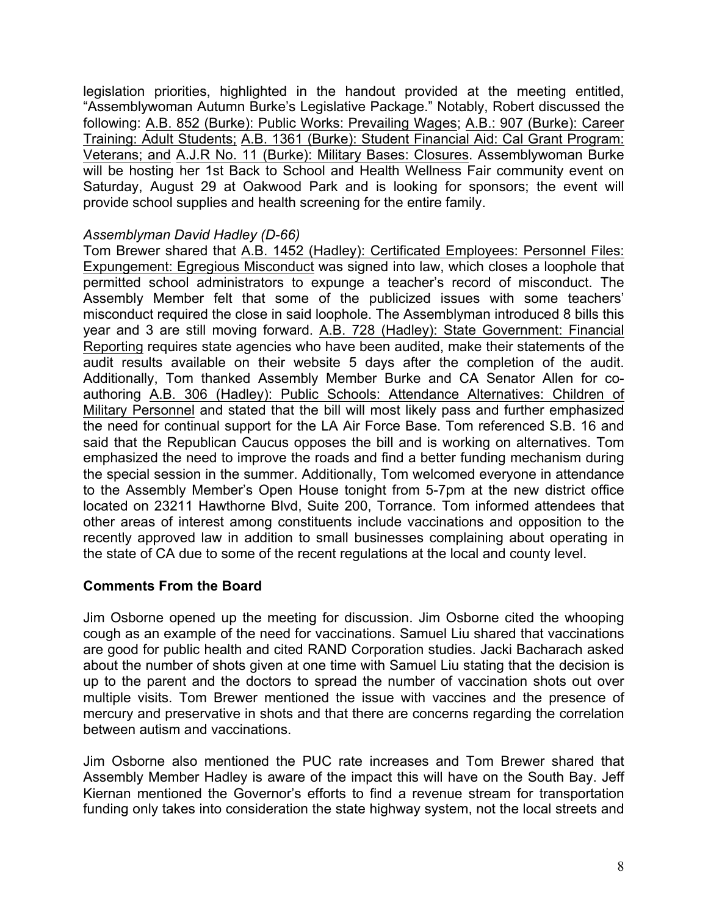legislation priorities, highlighted in the handout provided at the meeting entitled, "Assemblywoman Autumn Burke's Legislative Package." Notably, Robert discussed the following: A.B. 852 (Burke): Public Works: Prevailing Wages; A.B.: 907 (Burke): Career Training: Adult Students; A.B. 1361 (Burke): Student Financial Aid: Cal Grant Program: Veterans; and A.J.R No. 11 (Burke): Military Bases: Closures. Assemblywoman Burke will be hosting her 1st Back to School and Health Wellness Fair community event on Saturday, August 29 at Oakwood Park and is looking for sponsors; the event will provide school supplies and health screening for the entire family.

## *Assemblyman David Hadley (D-66)*

Tom Brewer shared that A.B. 1452 (Hadley): Certificated Employees: Personnel Files: Expungement: Egregious Misconduct was signed into law, which closes a loophole that permitted school administrators to expunge a teacher's record of misconduct. The Assembly Member felt that some of the publicized issues with some teachers' misconduct required the close in said loophole. The Assemblyman introduced 8 bills this year and 3 are still moving forward. A.B. 728 (Hadley): State Government: Financial Reporting requires state agencies who have been audited, make their statements of the audit results available on their website 5 days after the completion of the audit. Additionally, Tom thanked Assembly Member Burke and CA Senator Allen for coauthoring A.B. 306 (Hadley): Public Schools: Attendance Alternatives: Children of Military Personnel and stated that the bill will most likely pass and further emphasized the need for continual support for the LA Air Force Base. Tom referenced S.B. 16 and said that the Republican Caucus opposes the bill and is working on alternatives. Tom emphasized the need to improve the roads and find a better funding mechanism during the special session in the summer. Additionally, Tom welcomed everyone in attendance to the Assembly Member's Open House tonight from 5-7pm at the new district office located on 23211 Hawthorne Blvd, Suite 200, Torrance. Tom informed attendees that other areas of interest among constituents include vaccinations and opposition to the recently approved law in addition to small businesses complaining about operating in the state of CA due to some of the recent regulations at the local and county level.

## **Comments From the Board**

Jim Osborne opened up the meeting for discussion. Jim Osborne cited the whooping cough as an example of the need for vaccinations. Samuel Liu shared that vaccinations are good for public health and cited RAND Corporation studies. Jacki Bacharach asked about the number of shots given at one time with Samuel Liu stating that the decision is up to the parent and the doctors to spread the number of vaccination shots out over multiple visits. Tom Brewer mentioned the issue with vaccines and the presence of mercury and preservative in shots and that there are concerns regarding the correlation between autism and vaccinations.

Jim Osborne also mentioned the PUC rate increases and Tom Brewer shared that Assembly Member Hadley is aware of the impact this will have on the South Bay. Jeff Kiernan mentioned the Governor's efforts to find a revenue stream for transportation funding only takes into consideration the state highway system, not the local streets and